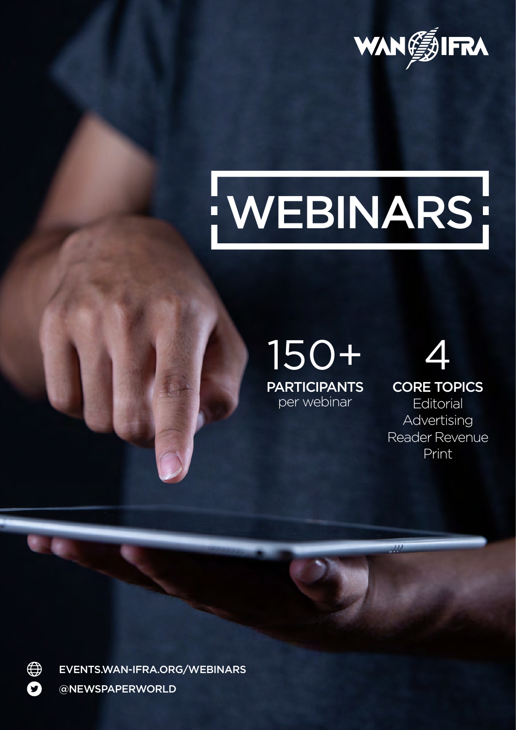

# : WEBINARS

### 150+ **PARTICIPANTS**

per webinar

## 4

CORE TOPICS

**Editorial** Advertising Reader Revenue Print



[@NEWSPAPERWORLD](https://twitter.com/NewspaperWorld?ref_src=twsrc%5Egoogle%7Ctwcamp%5Eserp%7Ctwgr%5Eauthor) [EVENTS.WAN-IFRA.ORG/WEBINARS](http://events.wan-ifra.org/WEBINARS)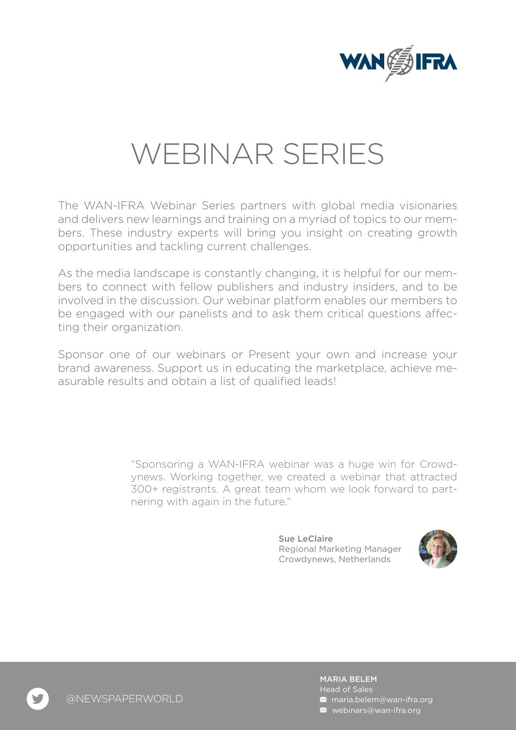

### WEBINAR SERIES

The WAN-IFRA Webinar Series partners with global media visionaries and delivers new learnings and training on a myriad of topics to our members. These industry experts will bring you insight on creating growth opportunities and tackling current challenges.

As the media landscape is constantly changing, it is helpful for our members to connect with fellow publishers and industry insiders, and to be involved in the discussion. Our webinar platform enables our members to be engaged with our panelists and to ask them critical questions affecting their organization.

Sponsor one of our webinars or Present your own and increase your brand awareness. Support us in educating the marketplace, achieve measurable results and obtain a list of qualified leads!

> "Sponsoring a WAN-IFRA webinar was a huge win for Crowdynews. Working together, we created a webinar that attracted 300+ registrants. A great team whom we look forward to partnering with again in the future."

> > Sue LeClaire Regional Marketing Manager Crowdynews, Netherlands



MARIA BELEM **M** [maria.belem@wan-ifra.org](mailto: webinars@wan-ifra.org) Head of Sales  $\blacksquare$  [webinars@wan-ifra.org](mailto: webinars@wan-ifra.org)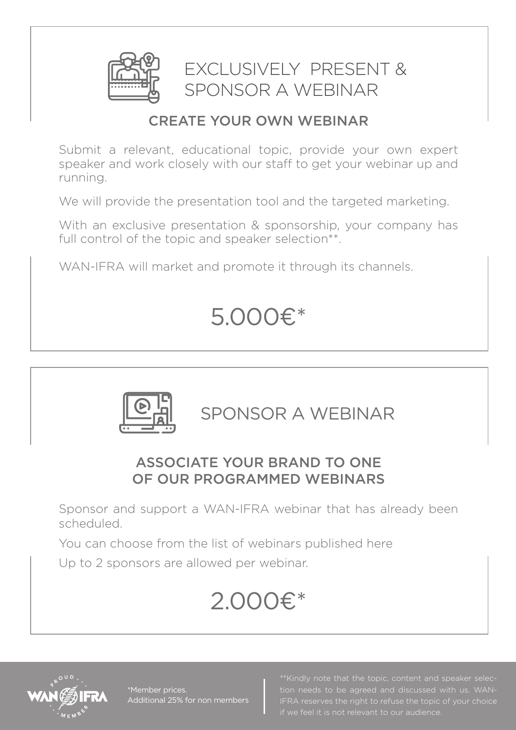

EXCLUSIVELY PRESENT & SPONSOR A WEBINAR

### CREATE YOUR OWN WEBINAR

Submit a relevant, educational topic, provide your own expert speaker and work closely with our staff to get your webinar up and running.

We will provide the presentation tool and the targeted marketing.

With an exclusive presentation & sponsorship, your company has full control of the topic and speaker selection\*\*.

WAN-IFRA will market and promote it through its channels.

### 5.000€\*



SPONSOR A WEBINAR

### ASSOCIATE YOUR BRAND TO ONE OF OUR PROGRAMMED WEBINARS

Sponsor and support a WAN-IFRA webinar that has already been scheduled.

You can choose from the list of webinars published here

Up to 2 sponsors are allowed per webinar.

### 2.000€\*



\*Member prices. Additional 25% for non members tion needs to be agreed and discussed with us. WAN-IFRA reserves the right to refuse the topic of your choice